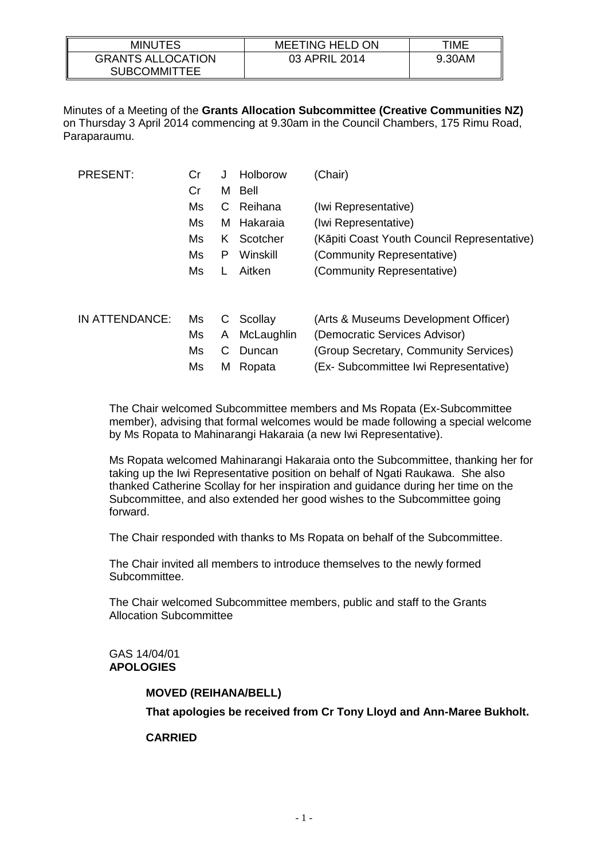| <b>MINUTES</b>                                  | <b>MEETING HELD ON</b> | TIME   |
|-------------------------------------------------|------------------------|--------|
| <b>GRANTS ALLOCATION</b><br><b>SUBCOMMITTEE</b> | 03 APRIL 2014          | 9.30AM |

Minutes of a Meeting of the **Grants Allocation Subcommittee (Creative Communities NZ)** on Thursday 3 April 2014 commencing at 9.30am in the Council Chambers, 175 Rimu Road, Paraparaumu.

| <b>PRESENT:</b> | Cr | J  | Holborow   | (Chair)                                     |
|-----------------|----|----|------------|---------------------------------------------|
|                 | Cr | M  | Bell       |                                             |
|                 | Ms | С  | Reihana    | (Iwi Representative)                        |
|                 | Ms | м  | Hakaraia   | (Iwi Representative)                        |
|                 | Ms | K. | Scotcher   | (Kāpiti Coast Youth Council Representative) |
|                 | Ms | P  | Winskill   | (Community Representative)                  |
|                 | Ms | L  | Aitken     | (Community Representative)                  |
|                 |    |    |            |                                             |
| IN ATTENDANCE:  | Ms | С  | Scollay    | (Arts & Museums Development Officer)        |
|                 | Ms | A  | McLaughlin | (Democratic Services Advisor)               |
|                 | Ms | С  | Duncan     | (Group Secretary, Community Services)       |
|                 | Ms | м  | Ropata     | (Ex- Subcommittee Iwi Representative)       |

The Chair welcomed Subcommittee members and Ms Ropata (Ex-Subcommittee member), advising that formal welcomes would be made following a special welcome by Ms Ropata to Mahinarangi Hakaraia (a new Iwi Representative).

Ms Ropata welcomed Mahinarangi Hakaraia onto the Subcommittee, thanking her for taking up the Iwi Representative position on behalf of Ngati Raukawa. She also thanked Catherine Scollay for her inspiration and guidance during her time on the Subcommittee, and also extended her good wishes to the Subcommittee going forward.

The Chair responded with thanks to Ms Ropata on behalf of the Subcommittee.

The Chair invited all members to introduce themselves to the newly formed Subcommittee.

The Chair welcomed Subcommittee members, public and staff to the Grants Allocation Subcommittee

### GAS 14/04/01 **APOLOGIES**

## **MOVED (REIHANA/BELL)**

**That apologies be received from Cr Tony Lloyd and Ann-Maree Bukholt.**

### **CARRIED**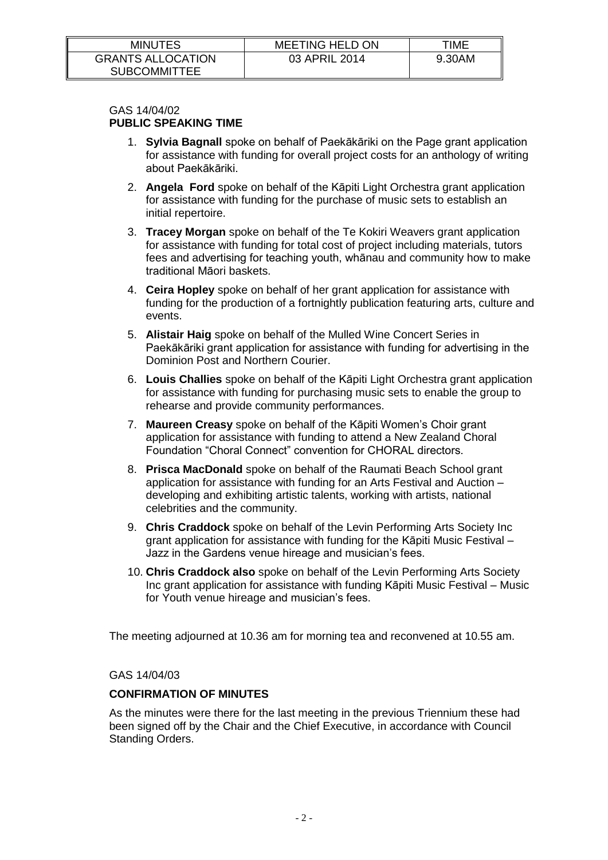| <b>MINUTES</b>                                  | <b>MEETING HELD ON</b> | TIME   |
|-------------------------------------------------|------------------------|--------|
| <b>GRANTS ALLOCATION</b><br><b>SUBCOMMITTEE</b> | 03 APRIL 2014          | 9.30AM |

#### GAS 14/04/02 **PUBLIC SPEAKING TIME**

- 1. **Sylvia Bagnall** spoke on behalf of Paekākāriki on the Page grant application for assistance with funding for overall project costs for an anthology of writing about Paekākāriki.
- 2. **Angela Ford** spoke on behalf of the Kāpiti Light Orchestra grant application for assistance with funding for the purchase of music sets to establish an initial repertoire.
- 3. **Tracey Morgan** spoke on behalf of the Te Kokiri Weavers grant application for assistance with funding for total cost of project including materials, tutors fees and advertising for teaching youth, whānau and community how to make traditional Māori baskets.
- 4. **Ceira Hopley** spoke on behalf of her grant application for assistance with funding for the production of a fortnightly publication featuring arts, culture and events.
- 5. **Alistair Haig** spoke on behalf of the Mulled Wine Concert Series in Paekākāriki grant application for assistance with funding for advertising in the Dominion Post and Northern Courier.
- 6. **Louis Challies** spoke on behalf of the Kāpiti Light Orchestra grant application for assistance with funding for purchasing music sets to enable the group to rehearse and provide community performances.
- 7. **Maureen Creasy** spoke on behalf of the Kāpiti Women's Choir grant application for assistance with funding to attend a New Zealand Choral Foundation "Choral Connect" convention for CHORAL directors.
- 8. **Prisca MacDonald** spoke on behalf of the Raumati Beach School grant application for assistance with funding for an Arts Festival and Auction – developing and exhibiting artistic talents, working with artists, national celebrities and the community.
- 9. **Chris Craddock** spoke on behalf of the Levin Performing Arts Society Inc grant application for assistance with funding for the Kāpiti Music Festival – Jazz in the Gardens venue hireage and musician's fees.
- 10. **Chris Craddock also** spoke on behalf of the Levin Performing Arts Society Inc grant application for assistance with funding Kāpiti Music Festival – Music for Youth venue hireage and musician's fees.

The meeting adjourned at 10.36 am for morning tea and reconvened at 10.55 am.

# GAS 14/04/03

## **CONFIRMATION OF MINUTES**

As the minutes were there for the last meeting in the previous Triennium these had been signed off by the Chair and the Chief Executive, in accordance with Council Standing Orders.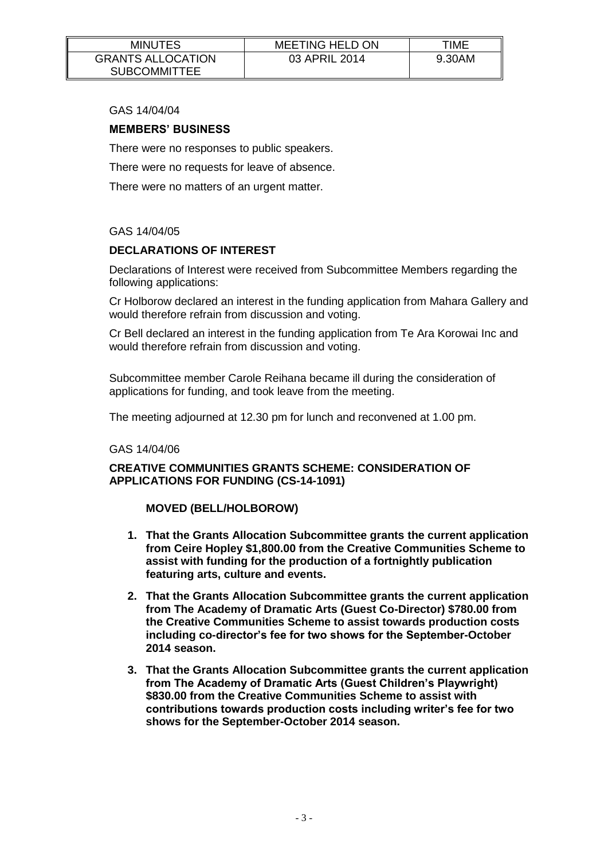| <b>MINUTES</b>                                  | <b>MEETING HELD ON</b> | TIME   |
|-------------------------------------------------|------------------------|--------|
| <b>GRANTS ALLOCATION</b><br><b>SUBCOMMITTEE</b> | 03 APRIL 2014          | 9.30AM |

## GAS 14/04/04

#### **MEMBERS' BUSINESS**

There were no responses to public speakers.

There were no requests for leave of absence.

There were no matters of an urgent matter.

#### GAS 14/04/05

### **DECLARATIONS OF INTEREST**

Declarations of Interest were received from Subcommittee Members regarding the following applications:

Cr Holborow declared an interest in the funding application from Mahara Gallery and would therefore refrain from discussion and voting.

Cr Bell declared an interest in the funding application from Te Ara Korowai Inc and would therefore refrain from discussion and voting.

Subcommittee member Carole Reihana became ill during the consideration of applications for funding, and took leave from the meeting.

The meeting adjourned at 12.30 pm for lunch and reconvened at 1.00 pm.

#### GAS 14/04/06

**CREATIVE COMMUNITIES GRANTS SCHEME: CONSIDERATION OF APPLICATIONS FOR FUNDING (CS-14-1091)**

### **MOVED (BELL/HOLBOROW)**

- **1. That the Grants Allocation Subcommittee grants the current application from Ceire Hopley \$1,800.00 from the Creative Communities Scheme to assist with funding for the production of a fortnightly publication featuring arts, culture and events.**
- **2. That the Grants Allocation Subcommittee grants the current application from The Academy of Dramatic Arts (Guest Co-Director) \$780.00 from the Creative Communities Scheme to assist towards production costs including co-director's fee for two shows for the September-October 2014 season.**
- **3. That the Grants Allocation Subcommittee grants the current application from The Academy of Dramatic Arts (Guest Children's Playwright) \$830.00 from the Creative Communities Scheme to assist with contributions towards production costs including writer's fee for two shows for the September-October 2014 season.**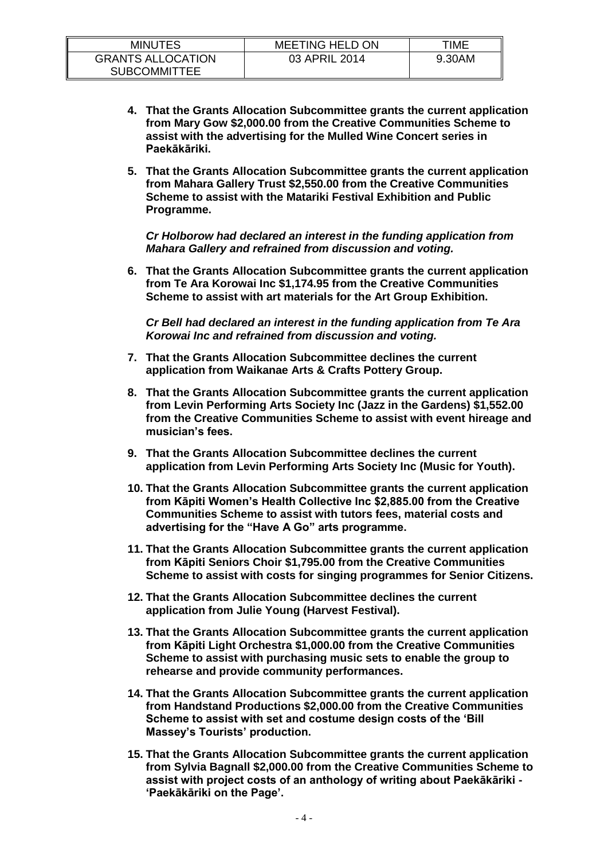| <b>MINUTES</b>                                  | <b>MEETING HELD ON</b> | TIME   |
|-------------------------------------------------|------------------------|--------|
| <b>GRANTS ALLOCATION</b><br><b>SUBCOMMITTEE</b> | 03 APRIL 2014          | 9.30AM |

- **4. That the Grants Allocation Subcommittee grants the current application from Mary Gow \$2,000.00 from the Creative Communities Scheme to assist with the advertising for the Mulled Wine Concert series in Paekākāriki.**
- **5. That the Grants Allocation Subcommittee grants the current application from Mahara Gallery Trust \$2,550.00 from the Creative Communities Scheme to assist with the Matariki Festival Exhibition and Public Programme.**

*Cr Holborow had declared an interest in the funding application from Mahara Gallery and refrained from discussion and voting.*

**6. That the Grants Allocation Subcommittee grants the current application from Te Ara Korowai Inc \$1,174.95 from the Creative Communities Scheme to assist with art materials for the Art Group Exhibition.**

*Cr Bell had declared an interest in the funding application from Te Ara Korowai Inc and refrained from discussion and voting.*

- **7. That the Grants Allocation Subcommittee declines the current application from Waikanae Arts & Crafts Pottery Group.**
- **8. That the Grants Allocation Subcommittee grants the current application from Levin Performing Arts Society Inc (Jazz in the Gardens) \$1,552.00 from the Creative Communities Scheme to assist with event hireage and musician's fees.**
- **9. That the Grants Allocation Subcommittee declines the current application from Levin Performing Arts Society Inc (Music for Youth).**
- **10. That the Grants Allocation Subcommittee grants the current application from Kāpiti Women's Health Collective Inc \$2,885.00 from the Creative Communities Scheme to assist with tutors fees, material costs and advertising for the "Have A Go" arts programme.**
- **11. That the Grants Allocation Subcommittee grants the current application from Kāpiti Seniors Choir \$1,795.00 from the Creative Communities Scheme to assist with costs for singing programmes for Senior Citizens.**
- **12. That the Grants Allocation Subcommittee declines the current application from Julie Young (Harvest Festival).**
- **13. That the Grants Allocation Subcommittee grants the current application from Kāpiti Light Orchestra \$1,000.00 from the Creative Communities Scheme to assist with purchasing music sets to enable the group to rehearse and provide community performances.**
- **14. That the Grants Allocation Subcommittee grants the current application from Handstand Productions \$2,000.00 from the Creative Communities Scheme to assist with set and costume design costs of the 'Bill Massey's Tourists' production.**
- **15. That the Grants Allocation Subcommittee grants the current application from Sylvia Bagnall \$2,000.00 from the Creative Communities Scheme to assist with project costs of an anthology of writing about Paekākāriki - 'Paekākāriki on the Page'.**